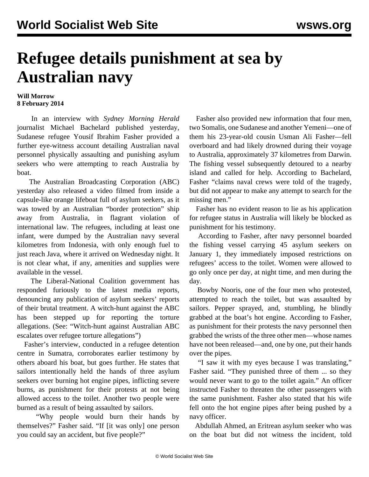## **Refugee details punishment at sea by Australian navy**

## **Will Morrow 8 February 2014**

 In an interview with *Sydney Morning Herald* journalist Michael Bachelard published yesterday, Sudanese refugee Yousif Ibrahim Fasher provided a further eye-witness account detailing Australian naval personnel physically assaulting and punishing asylum seekers who were attempting to reach Australia by boat.

 The Australian Broadcasting Corporation (ABC) yesterday also released a [video](http://www.abc.net.au/news/2014-02-07/video-emerges-of-lifeboat-towback-operation/5245280) filmed from inside a capsule-like orange lifeboat full of asylum seekers, as it was towed by an Australian "border protection" ship away from Australia, in flagrant violation of international law. The refugees, including at least one infant, were dumped by the Australian navy several kilometres from Indonesia, with only enough fuel to just reach Java, where it arrived on Wednesday night. It is not clear what, if any, amenities and supplies were available in the vessel.

 The Liberal-National Coalition government has responded furiously to the latest media reports, denouncing any publication of asylum seekers' reports of their brutal treatment. A witch-hunt against the ABC has been stepped up for reporting the torture allegations. (See: "[Witch-hunt against Australian ABC](/en/articles/2014/02/08/cens-f08.html) [escalates over refugee torture allegations](/en/articles/2014/02/08/cens-f08.html)")

 Fasher's interview, conducted in a refugee detention centre in Sumatra, corroborates [earlier testimony](/en/articles/2014/02/03/refu-f03.html) by others aboard his boat, but goes further. He states that sailors intentionally held the hands of three asylum seekers over burning hot engine pipes, inflicting severe burns, as punishment for their protests at not being allowed access to the toilet. Another two people were burned as a result of being assaulted by sailors.

 "Why people would burn their hands by themselves?" Fasher said. "If [it was only] one person you could say an accident, but five people?"

 Fasher also provided new information that four men, two Somalis, one Sudanese and another Yemeni—one of them his 23-year-old cousin Usman Ali Fasher—fell overboard and had likely drowned during their voyage to Australia, approximately 37 kilometres from Darwin. The fishing vessel subsequently detoured to a nearby island and called for help. According to Bachelard, Fasher "claims naval crews were told of the tragedy, but did not appear to make any attempt to search for the missing men."

 Fasher has no evident reason to lie as his application for refugee status in Australia will likely be blocked as punishment for his testimony.

 According to Fasher, after navy personnel boarded the fishing vessel carrying 45 asylum seekers on January 1, they immediately imposed restrictions on refugees' access to the toilet. Women were allowed to go only once per day, at night time, and men during the day.

 Bowby Nooris, one of the four men who protested, attempted to reach the toilet, but was assaulted by sailors. Pepper sprayed, and, stumbling, he blindly grabbed at the boat's hot engine. According to Fasher, as punishment for their protests the navy personnel then grabbed the wrists of the three other men—whose names have not been released—and, one by one, put their hands over the pipes.

 "I saw it with my eyes because I was translating," Fasher said. "They punished three of them ... so they would never want to go to the toilet again." An officer instructed Fasher to threaten the other passengers with the same punishment. Fasher also stated that his wife fell onto the hot engine pipes after being pushed by a navy officer.

 Abdullah Ahmed, an Eritrean asylum seeker who was on the boat but did not witness the incident, told